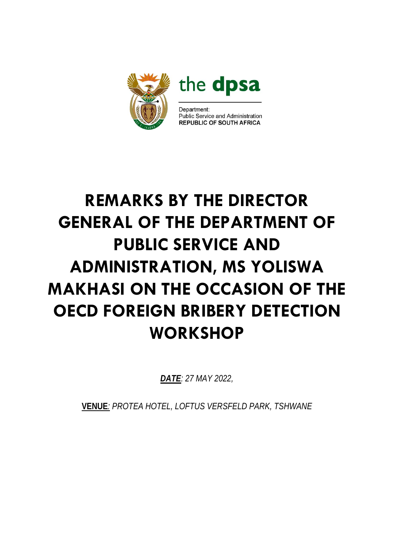

# **REMARKS BY THE DIRECTOR GENERAL OF THE DEPARTMENT OF PUBLIC SERVICE AND ADMINISTRATION, MS YOLISWA MAKHASI ON THE OCCASION OF THE OECD FOREIGN BRIBERY DETECTION WORKSHOP**

*DATE: 27 MAY 2022,*

**VENUE***: PROTEA HOTEL, LOFTUS VERSFELD PARK, TSHWANE*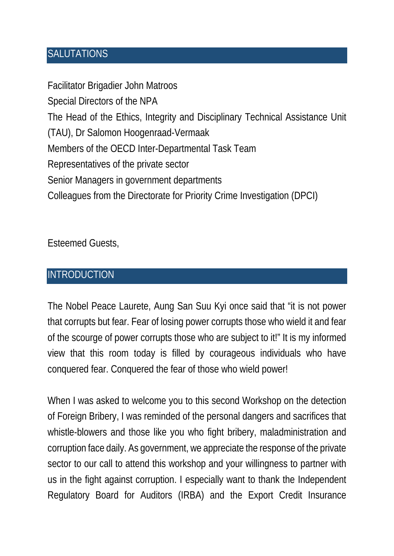#### **SALUTATIONS**

Facilitator Brigadier John Matroos Special Directors of the NPA The Head of the Ethics, Integrity and Disciplinary Technical Assistance Unit (TAU), Dr Salomon Hoogenraad-Vermaak Members of the OECD Inter-Departmental Task Team Representatives of the private sector Senior Managers in government departments Colleagues from the Directorate for Priority Crime Investigation (DPCI)

Esteemed Guests,

#### **INTRODUCTION**

The Nobel Peace Laurete, Aung San Suu Kyi once said that "it is not power that corrupts but fear. Fear of losing power corrupts those who wield it and fear of the scourge of power corrupts those who are subject to it!" It is my informed view that this room today is filled by courageous individuals who have conquered fear. Conquered the fear of those who wield power!

When I was asked to welcome you to this second Workshop on the detection of Foreign Bribery, I was reminded of the personal dangers and sacrifices that whistle-blowers and those like you who fight bribery, maladministration and corruption face daily. As government, we appreciate the response of the private sector to our call to attend this workshop and your willingness to partner with us in the fight against corruption. I especially want to thank the Independent Regulatory Board for Auditors (IRBA) and the Export Credit Insurance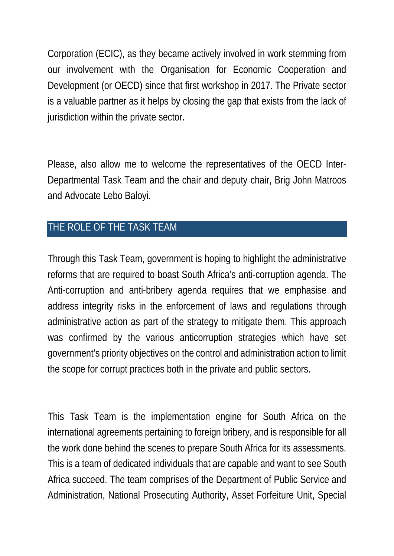Corporation (ECIC), as they became actively involved in work stemming from our involvement with the Organisation for Economic Cooperation and Development (or OECD) since that first workshop in 2017. The Private sector is a valuable partner as it helps by closing the gap that exists from the lack of jurisdiction within the private sector.

Please, also allow me to welcome the representatives of the OECD Inter-Departmental Task Team and the chair and deputy chair, Brig John Matroos and Advocate Lebo Baloyi.

## THE ROLE OF THE TASK TEAM

Through this Task Team, government is hoping to highlight the administrative reforms that are required to boast South Africa's anti-corruption agenda. The Anti-corruption and anti-bribery agenda requires that we emphasise and address integrity risks in the enforcement of laws and regulations through administrative action as part of the strategy to mitigate them. This approach was confirmed by the various anticorruption strategies which have set government's priority objectives on the control and administration action to limit the scope for corrupt practices both in the private and public sectors.

This Task Team is the implementation engine for South Africa on the international agreements pertaining to foreign bribery, and is responsible for all the work done behind the scenes to prepare South Africa for its assessments. This is a team of dedicated individuals that are capable and want to see South Africa succeed. The team comprises of the Department of Public Service and Administration, National Prosecuting Authority, Asset Forfeiture Unit, Special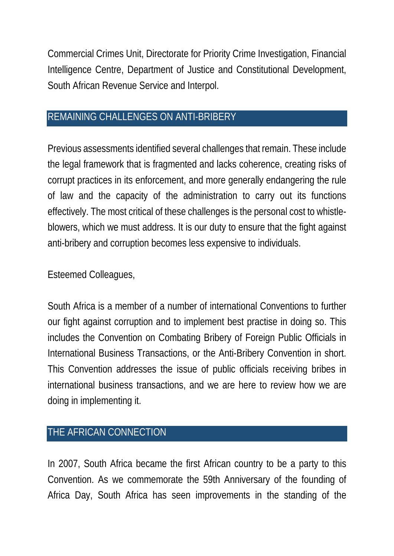Commercial Crimes Unit, Directorate for Priority Crime Investigation, Financial Intelligence Centre, Department of Justice and Constitutional Development, South African Revenue Service and Interpol.

#### REMAINING CHALLENGES ON ANTI-BRIBERY

Previous assessments identified several challenges that remain. These include the legal framework that is fragmented and lacks coherence, creating risks of corrupt practices in its enforcement, and more generally endangering the rule of law and the capacity of the administration to carry out its functions effectively. The most critical of these challenges is the personal cost to whistleblowers, which we must address. It is our duty to ensure that the fight against anti-bribery and corruption becomes less expensive to individuals.

#### Esteemed Colleagues,

South Africa is a member of a number of international Conventions to further our fight against corruption and to implement best practise in doing so. This includes the Convention on Combating Bribery of Foreign Public Officials in International Business Transactions, or the Anti-Bribery Convention in short. This Convention addresses the issue of public officials receiving bribes in international business transactions, and we are here to review how we are doing in implementing it.

## THE AFRICAN CONNECTION

In 2007, South Africa became the first African country to be a party to this Convention. As we commemorate the 59th Anniversary of the founding of Africa Day, South Africa has seen improvements in the standing of the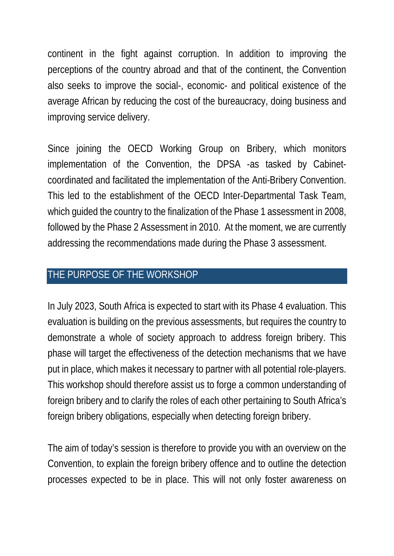continent in the fight against corruption. In addition to improving the perceptions of the country abroad and that of the continent, the Convention also seeks to improve the social-, economic- and political existence of the average African by reducing the cost of the bureaucracy, doing business and improving service delivery.

Since joining the OECD Working Group on Bribery, which monitors implementation of the Convention, the DPSA -as tasked by Cabinetcoordinated and facilitated the implementation of the Anti-Bribery Convention. This led to the establishment of the OECD Inter-Departmental Task Team, which guided the country to the finalization of the Phase 1 assessment in 2008, followed by the Phase 2 Assessment in 2010. At the moment, we are currently addressing the recommendations made during the Phase 3 assessment.

### THE PURPOSE OF THE WORKSHOP

In July 2023, South Africa is expected to start with its Phase 4 evaluation. This evaluation is building on the previous assessments, but requires the country to demonstrate a whole of society approach to address foreign bribery. This phase will target the effectiveness of the detection mechanisms that we have put in place, which makes it necessary to partner with all potential role-players. This workshop should therefore assist us to forge a common understanding of foreign bribery and to clarify the roles of each other pertaining to South Africa's foreign bribery obligations, especially when detecting foreign bribery.

The aim of today's session is therefore to provide you with an overview on the Convention, to explain the foreign bribery offence and to outline the detection processes expected to be in place. This will not only foster awareness on